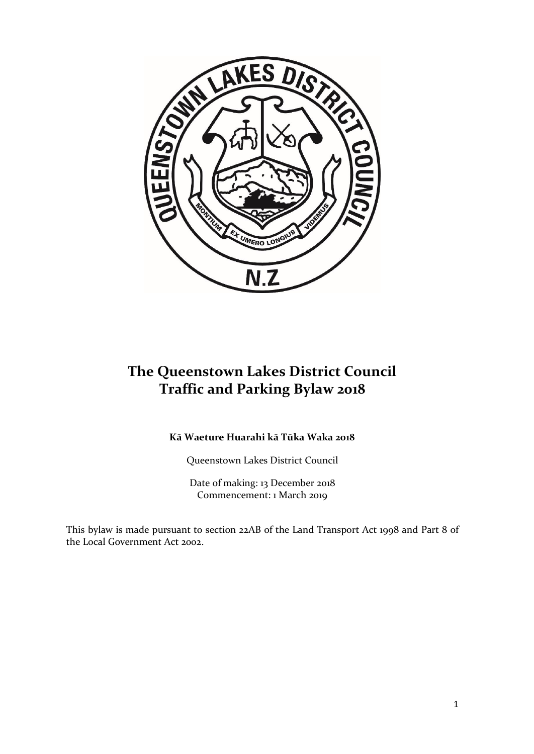

# **The Queenstown Lakes District Council Traffic and Parking Bylaw 2018**

# **Kā Waeture Huarahi kā Tūka Waka 2018**

Queenstown Lakes District Council

Date of making: 13 December 2018 Commencement: 1 March 2019

This bylaw is made pursuant to section 22AB of the Land Transport Act 1998 and Part 8 of the Local Government Act 2002.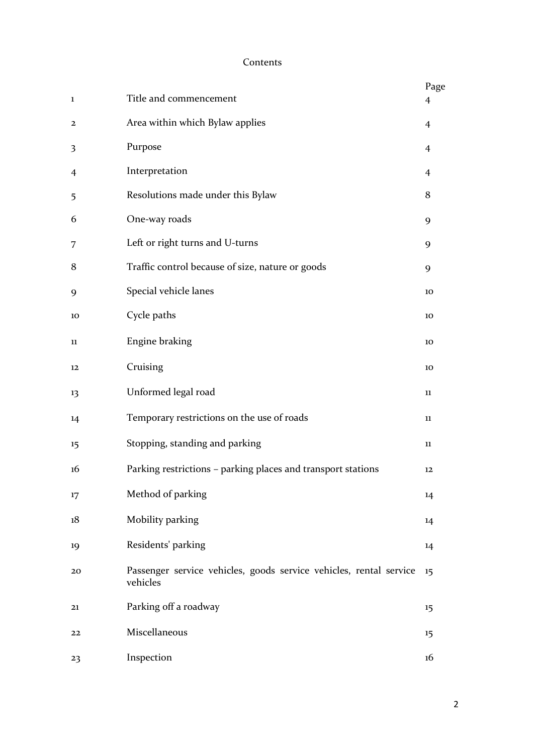# Contents

| 1  | Title and commencement                                                         | Page<br>$\overline{4}$ |
|----|--------------------------------------------------------------------------------|------------------------|
| 2  | Area within which Bylaw applies                                                | $\overline{4}$         |
| 3  | Purpose                                                                        | $\overline{4}$         |
| 4  | Interpretation                                                                 | $\overline{4}$         |
| 5  | Resolutions made under this Bylaw                                              | 8                      |
| 6  | One-way roads                                                                  | 9                      |
| 7  | Left or right turns and U-turns                                                | 9                      |
| 8  | Traffic control because of size, nature or goods                               | 9                      |
| 9  | Special vehicle lanes                                                          | 10                     |
| 10 | Cycle paths                                                                    | 10                     |
| 11 | Engine braking                                                                 | 10                     |
| 12 | Cruising                                                                       | 10                     |
| 13 | Unformed legal road                                                            | 11                     |
| 14 | Temporary restrictions on the use of roads                                     | 11                     |
| 15 | Stopping, standing and parking                                                 | 11                     |
| 16 | Parking restrictions - parking places and transport stations                   | 12                     |
| 17 | Method of parking                                                              | 14                     |
| 18 | Mobility parking                                                               | 14                     |
| 19 | Residents' parking                                                             | 14                     |
| 20 | Passenger service vehicles, goods service vehicles, rental service<br>vehicles | 15                     |
| 21 | Parking off a roadway                                                          | 15                     |
| 22 | Miscellaneous                                                                  | 15                     |
| 23 | Inspection                                                                     | 16                     |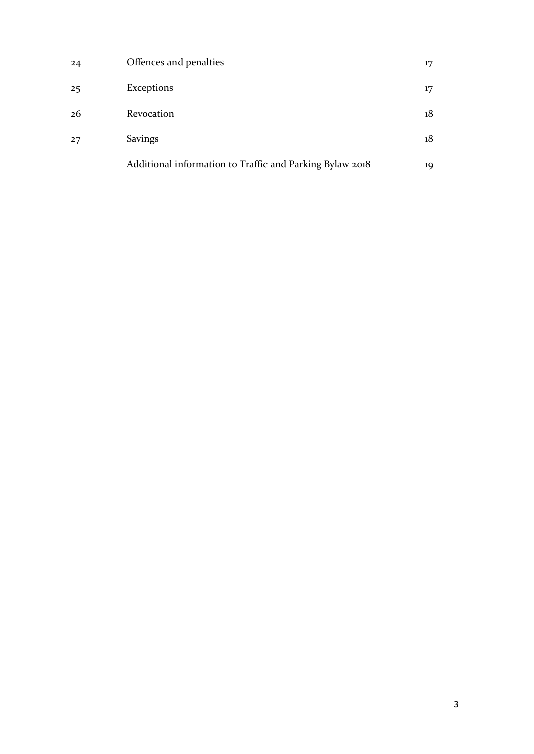| 24 | Offences and penalties                                   | 17 |
|----|----------------------------------------------------------|----|
| 25 | Exceptions                                               | 17 |
| 26 | Revocation                                               | 18 |
| 27 | <b>Savings</b>                                           | 18 |
|    | Additional information to Traffic and Parking Bylaw 2018 | 19 |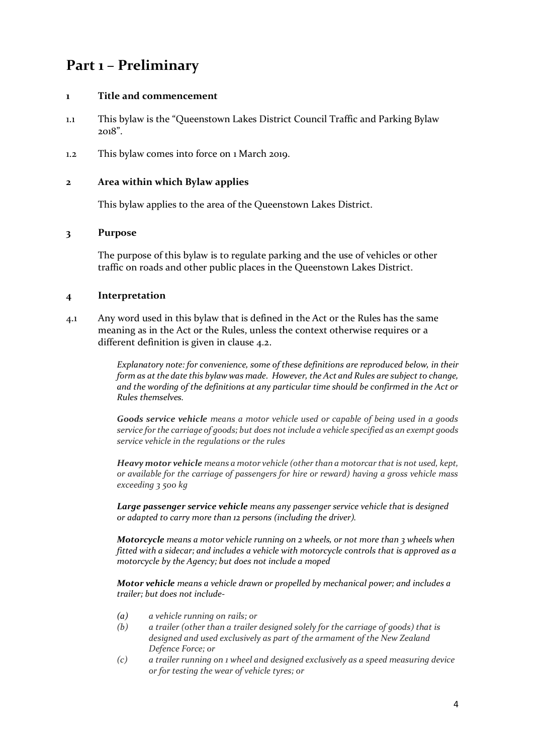# **Part 1 – Preliminary**

#### **1 Title and commencement**

- 1.1 This bylaw is the "Queenstown Lakes District Council Traffic and Parking Bylaw 2018".
- 1.2 This bylaw comes into force on 1 March 2019.

#### **2 Area within which Bylaw applies**

This bylaw applies to the area of the Queenstown Lakes District.

#### **3 Purpose**

The purpose of this bylaw is to regulate parking and the use of vehicles or other traffic on roads and other public places in the Queenstown Lakes District.

#### **4 Interpretation**

4.1 Any word used in this bylaw that is defined in the Act or the Rules has the same meaning as in the Act or the Rules, unless the context otherwise requires or a different definition is given in clause 4.2.

> *Explanatory note: for convenience, some of these definitions are reproduced below, in their form as at the date this bylaw was made. However, the Act and Rules are subject to change, and the wording of the definitions at any particular time should be confirmed in the Act or Rules themselves.*

> *Goods service vehicle means a motor vehicle used or capable of being used in a goods service for the carriage of goods; but does not include a vehicle specified as an exempt goods service vehicle in the regulations or the rules*

> *Heavy motor vehicle means a motor vehicle (other than a motorcar that is not used, kept, or available for the carriage of passengers for hire or reward) having a gross vehicle mass exceeding 3 500 kg*

*Large passenger service vehicle means any passenger service vehicle that is designed or adapted to carry more than 12 persons (including the driver).*

*Motorcycle means a motor vehicle running on 2 wheels, or not more than 3 wheels when fitted with a sidecar; and includes a vehicle with motorcycle controls that is approved as a motorcycle by the Agency; but does not include a moped*

*Motor vehicle means a vehicle drawn or propelled by mechanical power; and includes a trailer; but does not include-*

- *(a) a vehicle running on rails; or*
- *(b) a trailer (other than a trailer designed solely for the carriage of goods) that is designed and used exclusively as part of the armament of the New Zealand Defence Force; or*
- *(c) a trailer running on 1 wheel and designed exclusively as a speed measuring device or for testing the wear of vehicle tyres; or*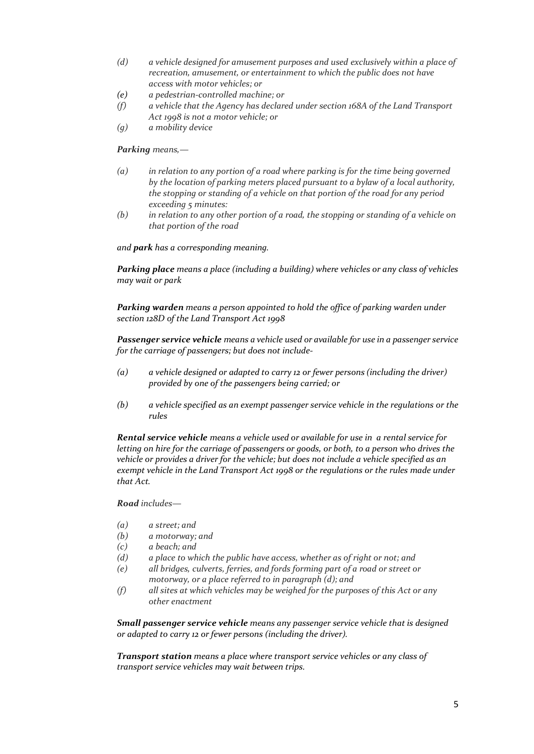- *(d) a vehicle designed for amusement purposes and used exclusively within a place of recreation, amusement, or entertainment to which the public does not have access with motor vehicles; or*
- *(e) a pedestrian-controlled machine; or*
- *(f) a vehicle that the Agency has declared under section 168A of the Land Transport Act 1998 is not a motor vehicle; or*
- *(g) a mobility device*

#### *Parking means,—*

- *(a) in relation to any portion of a road where parking is for the time being governed by the location of parking meters placed pursuant to a bylaw of a local authority, the stopping or standing of a vehicle on that portion of the road for any period exceeding 5 minutes:*
- *(b) in relation to any other portion of a road, the stopping or standing of a vehicle on that portion of the road*

#### *and park has a corresponding meaning.*

*Parking place means a place (including a building) where vehicles or any class of vehicles may wait or park*

*Parking warden means a person appointed to hold the office of parking warden under section 128D of the Land Transport Act 1998*

*Passenger service vehicle means a vehicle used or available for use in a passenger service for the carriage of passengers; but does not include-*

- *(a) a vehicle designed or adapted to carry 12 or fewer persons (including the driver) provided by one of the passengers being carried; or*
- *(b) a vehicle specified as an exempt passenger service vehicle in the regulations or the rules*

*Rental service vehicle means a vehicle used or available for use in a rental service for letting on hire for the carriage of passengers or goods, or both, to a person who drives the vehicle or provides a driver for the vehicle; but does not include a vehicle specified as an exempt vehicle in the Land Transport Act 1998 or the regulations or the rules made under that Act.*

#### *Road includes—*

- *(a) a street; and*
- *(b) a motorway; and*
- *(c) a beach; and*
- *(d) a place to which the public have access, whether as of right or not; and*
- *(e) all bridges, culverts, ferries, and fords forming part of a road or street or motorway, or a place referred to in paragraph (d); and*
- *(f) all sites at which vehicles may be weighed for the purposes of this Act or any other enactment*

*Small passenger service vehicle means any passenger service vehicle that is designed or adapted to carry 12 or fewer persons (including the driver).*

*Transport station means a place where transport service vehicles or any class of transport service vehicles may wait between trips.*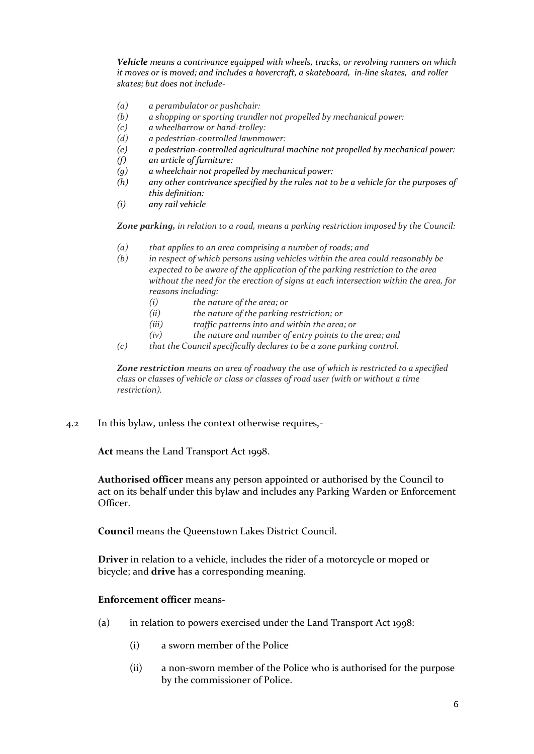*Vehicle means a contrivance equipped with wheels, tracks, or revolving runners on which it moves or is moved; and includes a hovercraft, a skateboard, in-line skates, and roller skates; but does not include-*

- *(a) a perambulator or pushchair:*
- *(b) a shopping or sporting trundler not propelled by mechanical power:*
- *(c) a wheelbarrow or hand-trolley:*
- *(d) a pedestrian-controlled lawnmower:*
- *(e) a pedestrian-controlled agricultural machine not propelled by mechanical power:*
- *(f) an article of furniture:*
- *(g) a wheelchair not propelled by mechanical power:*
- *(h) any other contrivance specified by the rules not to be a vehicle for the purposes of this definition:*
- *(i) any rail vehicle*

*Zone parking, in relation to a road, means a parking restriction imposed by the Council:*

- *(a) that applies to an area comprising a number of roads; and*
- *(b) in respect of which persons using vehicles within the area could reasonably be expected to be aware of the application of the parking restriction to the area without the need for the erection of signs at each intersection within the area, for reasons including:*
	- *(i) the nature of the area; or*
	- *(ii) the nature of the parking restriction; or*
	- *(iii) traffic patterns into and within the area; or*
	- *(iv) the nature and number of entry points to the area; and*
- *(c) that the Council specifically declares to be a zone parking control.*

*Zone restriction means an area of roadway the use of which is restricted to a specified class or classes of vehicle or class or classes of road user (with or without a time restriction).*

4.2 In this bylaw, unless the context otherwise requires,-

**Act** means the Land Transport Act 1998.

**Authorised officer** means any person appointed or authorised by the Council to act on its behalf under this bylaw and includes any Parking Warden or Enforcement Officer.

**Council** means the Queenstown Lakes District Council.

**Driver** in relation to a vehicle, includes the rider of a motorcycle or moped or bicycle; and **drive** has a corresponding meaning.

#### **Enforcement officer** means-

- (a) in relation to powers exercised under the Land Transport Act 1998:
	- (i) a sworn member of the Police
	- (ii) a non-sworn member of the Police who is authorised for the purpose by the commissioner of Police.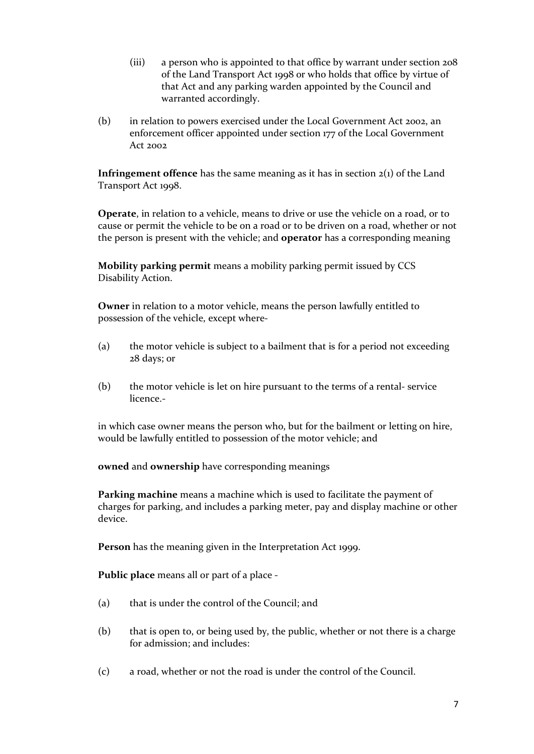- (iii) a person who is appointed to that office by warrant under section 208 of the Land Transport Act 1998 or who holds that office by virtue of that Act and any parking warden appointed by the Council and warranted accordingly.
- (b) in relation to powers exercised under the Local Government Act 2002, an enforcement officer appointed under section 177 of the Local Government Act 2002

**Infringement offence** has the same meaning as it has in section 2(1) of the Land Transport Act 1998.

**Operate**, in relation to a vehicle, means to drive or use the vehicle on a road, or to cause or permit the vehicle to be on a road or to be driven on a road, whether or not the person is present with the vehicle; and **operator** has a corresponding meaning

**Mobility parking permit** means a mobility parking permit issued by CCS Disability Action.

**Owner** in relation to a motor vehicle, means the person lawfully entitled to possession of the vehicle, except where-

- (a) the motor vehicle is subject to a bailment that is for a period not exceeding 28 days; or
- (b) the motor vehicle is let on hire pursuant to the terms of a rental- service licence.-

in which case owner means the person who, but for the bailment or letting on hire, would be lawfully entitled to possession of the motor vehicle; and

**owned** and **ownership** have corresponding meanings

**Parking machine** means a machine which is used to facilitate the payment of charges for parking, and includes a parking meter, pay and display machine or other device.

**Person** has the meaning given in the Interpretation Act 1999.

**Public place** means all or part of a place -

- (a) that is under the control of the Council; and
- (b) that is open to, or being used by, the public, whether or not there is a charge for admission; and includes:
- (c) a road, whether or not the road is under the control of the Council.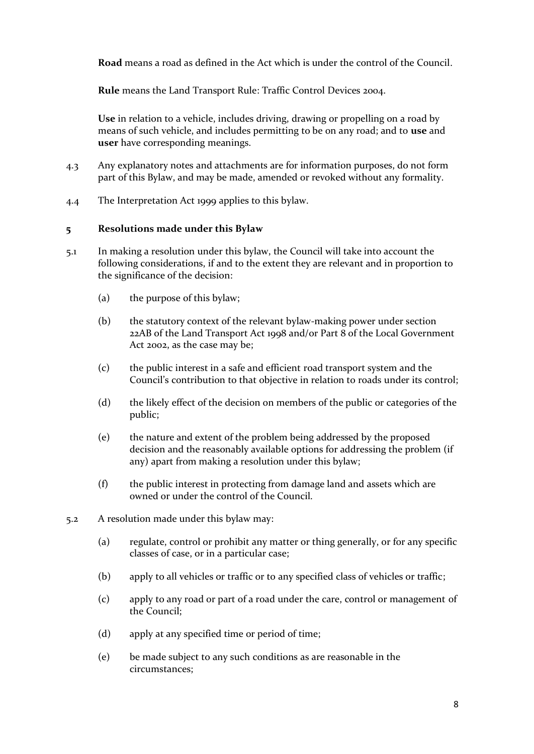**Road** means a road as defined in the Act which is under the control of the Council.

**Rule** means the Land Transport Rule: Traffic Control Devices 2004.

**Use** in relation to a vehicle, includes driving, drawing or propelling on a road by means of such vehicle, and includes permitting to be on any road; and to **use** and **user** have corresponding meanings.

- 4.3 Any explanatory notes and attachments are for information purposes, do not form part of this Bylaw, and may be made, amended or revoked without any formality.
- 4.4 The Interpretation Act 1999 applies to this bylaw.

### **5 Resolutions made under this Bylaw**

- 5.1 In making a resolution under this bylaw, the Council will take into account the following considerations, if and to the extent they are relevant and in proportion to the significance of the decision:
	- (a) the purpose of this bylaw;
	- (b) the statutory context of the relevant bylaw-making power under section 22AB of the Land Transport Act 1998 and/or Part 8 of the Local Government Act 2002, as the case may be;
	- (c) the public interest in a safe and efficient road transport system and the Council's contribution to that objective in relation to roads under its control;
	- (d) the likely effect of the decision on members of the public or categories of the public;
	- (e) the nature and extent of the problem being addressed by the proposed decision and the reasonably available options for addressing the problem (if any) apart from making a resolution under this bylaw;
	- (f) the public interest in protecting from damage land and assets which are owned or under the control of the Council.
- 5.2 A resolution made under this bylaw may:
	- (a) regulate, control or prohibit any matter or thing generally, or for any specific classes of case, or in a particular case;
	- (b) apply to all vehicles or traffic or to any specified class of vehicles or traffic;
	- (c) apply to any road or part of a road under the care, control or management of the Council;
	- (d) apply at any specified time or period of time;
	- (e) be made subject to any such conditions as are reasonable in the circumstances;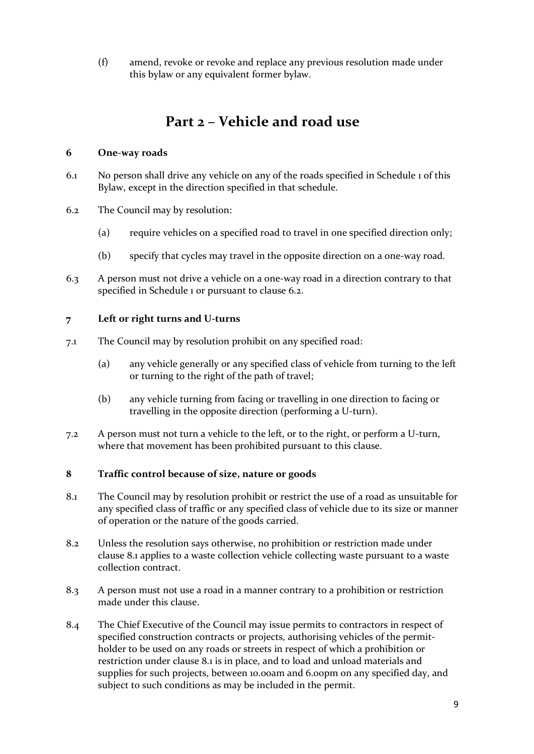(f) amend, revoke or revoke and replace any previous resolution made under this bylaw or any equivalent former bylaw.

# **Part 2 – Vehicle and road use**

## **6 One-way roads**

- 6.1 No person shall drive any vehicle on any of the roads specified in Schedule 1 of this Bylaw, except in the direction specified in that schedule.
- 6.2 The Council may by resolution:
	- (a) require vehicles on a specified road to travel in one specified direction only;
	- (b) specify that cycles may travel in the opposite direction on a one-way road.
- 6.3 A person must not drive a vehicle on a one-way road in a direction contrary to that specified in Schedule 1 or pursuant to clause 6.2.

## **7 Left or right turns and U-turns**

- 7.1 The Council may by resolution prohibit on any specified road:
	- (a) any vehicle generally or any specified class of vehicle from turning to the left or turning to the right of the path of travel;
	- (b) any vehicle turning from facing or travelling in one direction to facing or travelling in the opposite direction (performing a U-turn).
- 7.2 A person must not turn a vehicle to the left, or to the right, or perform a U-turn, where that movement has been prohibited pursuant to this clause.

# **8 Traffic control because of size, nature or goods**

- 8.1 The Council may by resolution prohibit or restrict the use of a road as unsuitable for any specified class of traffic or any specified class of vehicle due to its size or manner of operation or the nature of the goods carried.
- 8.2 Unless the resolution says otherwise, no prohibition or restriction made under clause 8.1 applies to a waste collection vehicle collecting waste pursuant to a waste collection contract.
- 8.3 A person must not use a road in a manner contrary to a prohibition or restriction made under this clause.
- 8.4 The Chief Executive of the Council may issue permits to contractors in respect of specified construction contracts or projects, authorising vehicles of the permitholder to be used on any roads or streets in respect of which a prohibition or restriction under clause 8.1 is in place, and to load and unload materials and supplies for such projects, between 10.00am and 6.00pm on any specified day, and subject to such conditions as may be included in the permit.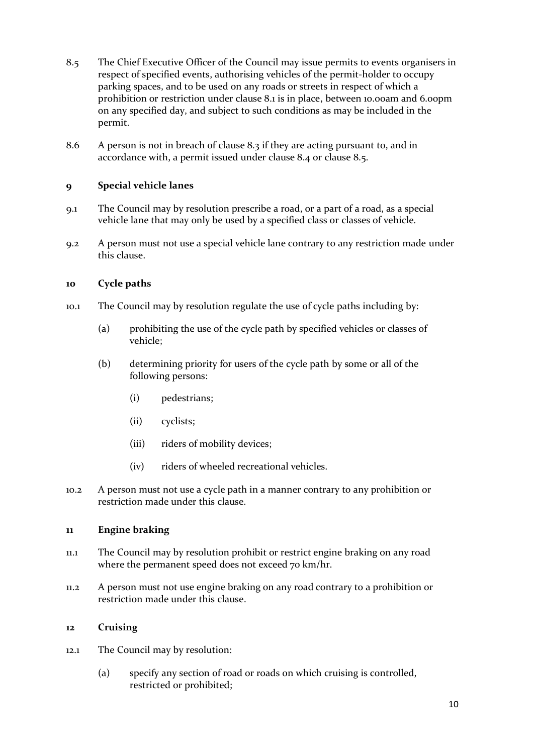- 8.5 The Chief Executive Officer of the Council may issue permits to events organisers in respect of specified events, authorising vehicles of the permit-holder to occupy parking spaces, and to be used on any roads or streets in respect of which a prohibition or restriction under clause 8.1 is in place, between 10.00am and 6.00pm on any specified day, and subject to such conditions as may be included in the permit.
- 8.6 A person is not in breach of clause 8.3 if they are acting pursuant to, and in accordance with, a permit issued under clause 8.4 or clause 8.5.

## **9 Special vehicle lanes**

- 9.1 The Council may by resolution prescribe a road, or a part of a road, as a special vehicle lane that may only be used by a specified class or classes of vehicle.
- 9.2 A person must not use a special vehicle lane contrary to any restriction made under this clause.

## **10 Cycle paths**

- 10.1 The Council may by resolution regulate the use of cycle paths including by:
	- (a) prohibiting the use of the cycle path by specified vehicles or classes of vehicle;
	- (b) determining priority for users of the cycle path by some or all of the following persons:
		- (i) pedestrians;
		- (ii) cyclists;
		- (iii) riders of mobility devices;
		- (iv) riders of wheeled recreational vehicles.
- 10.2 A person must not use a cycle path in a manner contrary to any prohibition or restriction made under this clause.

### **11 Engine braking**

- 11.1 The Council may by resolution prohibit or restrict engine braking on any road where the permanent speed does not exceed 70 km/hr.
- 11.2 A person must not use engine braking on any road contrary to a prohibition or restriction made under this clause.

### **12 Cruising**

- 12.1 The Council may by resolution:
	- (a) specify any section of road or roads on which cruising is controlled, restricted or prohibited;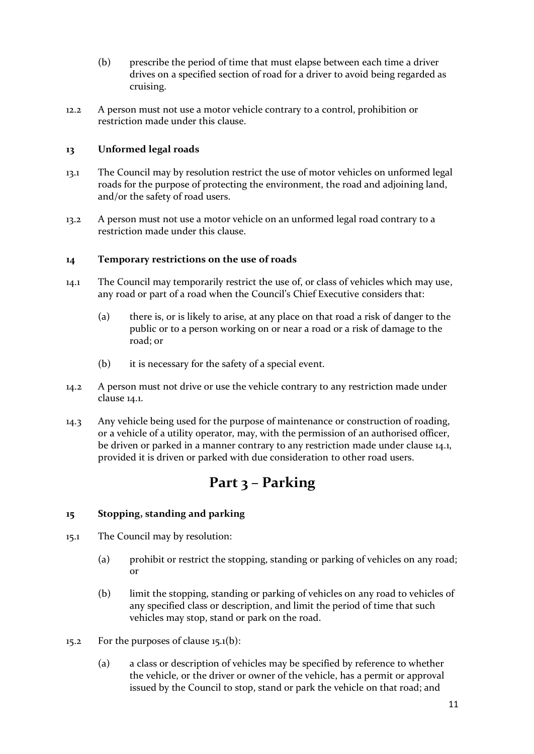- (b) prescribe the period of time that must elapse between each time a driver drives on a specified section of road for a driver to avoid being regarded as cruising.
- 12.2 A person must not use a motor vehicle contrary to a control, prohibition or restriction made under this clause.

## **13 Unformed legal roads**

- 13.1 The Council may by resolution restrict the use of motor vehicles on unformed legal roads for the purpose of protecting the environment, the road and adjoining land, and/or the safety of road users.
- 13.2 A person must not use a motor vehicle on an unformed legal road contrary to a restriction made under this clause.

### **14 Temporary restrictions on the use of roads**

- 14.1 The Council may temporarily restrict the use of, or class of vehicles which may use, any road or part of a road when the Council's Chief Executive considers that:
	- (a) there is, or is likely to arise, at any place on that road a risk of danger to the public or to a person working on or near a road or a risk of damage to the road; or
	- (b) it is necessary for the safety of a special event.
- 14.2 A person must not drive or use the vehicle contrary to any restriction made under clause 14.1.
- 14.3 Any vehicle being used for the purpose of maintenance or construction of roading, or a vehicle of a utility operator, may, with the permission of an authorised officer, be driven or parked in a manner contrary to any restriction made under clause 14.1, provided it is driven or parked with due consideration to other road users.

# **Part 3 – Parking**

# **15 Stopping, standing and parking**

- 15.1 The Council may by resolution:
	- (a) prohibit or restrict the stopping, standing or parking of vehicles on any road; or
	- (b) limit the stopping, standing or parking of vehicles on any road to vehicles of any specified class or description, and limit the period of time that such vehicles may stop, stand or park on the road.
- 15.2 For the purposes of clause 15.1(b):
	- (a) a class or description of vehicles may be specified by reference to whether the vehicle, or the driver or owner of the vehicle, has a permit or approval issued by the Council to stop, stand or park the vehicle on that road; and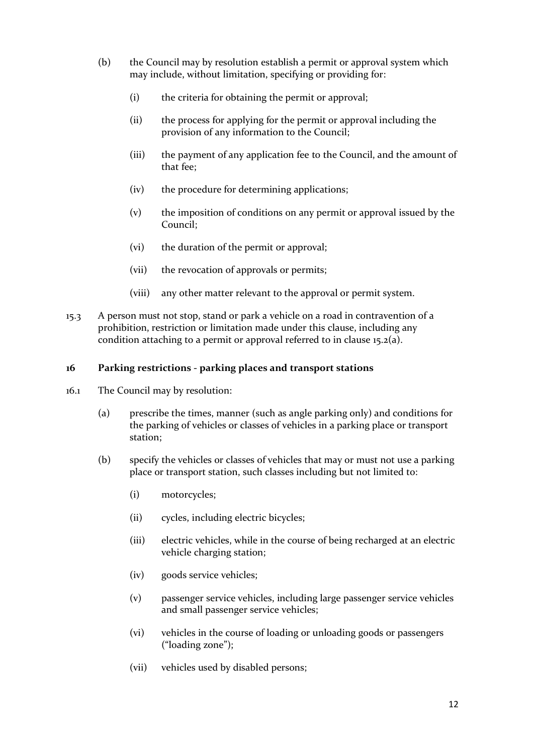- (b) the Council may by resolution establish a permit or approval system which may include, without limitation, specifying or providing for:
	- (i) the criteria for obtaining the permit or approval;
	- (ii) the process for applying for the permit or approval including the provision of any information to the Council;
	- (iii) the payment of any application fee to the Council, and the amount of that fee;
	- (iv) the procedure for determining applications;
	- (v) the imposition of conditions on any permit or approval issued by the Council;
	- (vi) the duration of the permit or approval;
	- (vii) the revocation of approvals or permits;
	- (viii) any other matter relevant to the approval or permit system.
- 15.3 A person must not stop, stand or park a vehicle on a road in contravention of a prohibition, restriction or limitation made under this clause, including any condition attaching to a permit or approval referred to in clause 15.2(a).

### **16 Parking restrictions - parking places and transport stations**

- 16.1 The Council may by resolution:
	- (a) prescribe the times, manner (such as angle parking only) and conditions for the parking of vehicles or classes of vehicles in a parking place or transport station;
	- (b) specify the vehicles or classes of vehicles that may or must not use a parking place or transport station, such classes including but not limited to:
		- (i) motorcycles;
		- (ii) cycles, including electric bicycles;
		- (iii) electric vehicles, while in the course of being recharged at an electric vehicle charging station;
		- (iv) goods service vehicles;
		- (v) passenger service vehicles, including large passenger service vehicles and small passenger service vehicles;
		- (vi) vehicles in the course of loading or unloading goods or passengers ("loading zone");
		- (vii) vehicles used by disabled persons;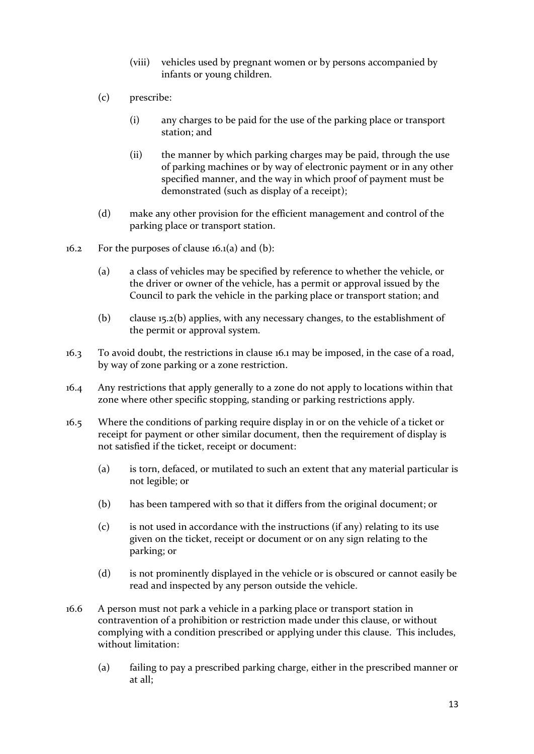- (viii) vehicles used by pregnant women or by persons accompanied by infants or young children.
- (c) prescribe:
	- (i) any charges to be paid for the use of the parking place or transport station; and
	- (ii) the manner by which parking charges may be paid, through the use of parking machines or by way of electronic payment or in any other specified manner, and the way in which proof of payment must be demonstrated (such as display of a receipt);
- (d) make any other provision for the efficient management and control of the parking place or transport station.
- 16.2 For the purposes of clause  $16.1(a)$  and  $(b)$ :
	- (a) a class of vehicles may be specified by reference to whether the vehicle, or the driver or owner of the vehicle, has a permit or approval issued by the Council to park the vehicle in the parking place or transport station; and
	- (b) clause 15.2(b) applies, with any necessary changes, to the establishment of the permit or approval system.
- 16.3 To avoid doubt, the restrictions in clause 16.1 may be imposed, in the case of a road, by way of zone parking or a zone restriction.
- 16.4 Any restrictions that apply generally to a zone do not apply to locations within that zone where other specific stopping, standing or parking restrictions apply.
- 16.5 Where the conditions of parking require display in or on the vehicle of a ticket or receipt for payment or other similar document, then the requirement of display is not satisfied if the ticket, receipt or document:
	- (a) is torn, defaced, or mutilated to such an extent that any material particular is not legible; or
	- (b) has been tampered with so that it differs from the original document; or
	- (c) is not used in accordance with the instructions (if any) relating to its use given on the ticket, receipt or document or on any sign relating to the parking; or
	- (d) is not prominently displayed in the vehicle or is obscured or cannot easily be read and inspected by any person outside the vehicle.
- 16.6 A person must not park a vehicle in a parking place or transport station in contravention of a prohibition or restriction made under this clause, or without complying with a condition prescribed or applying under this clause. This includes, without limitation:
	- (a) failing to pay a prescribed parking charge, either in the prescribed manner or at all;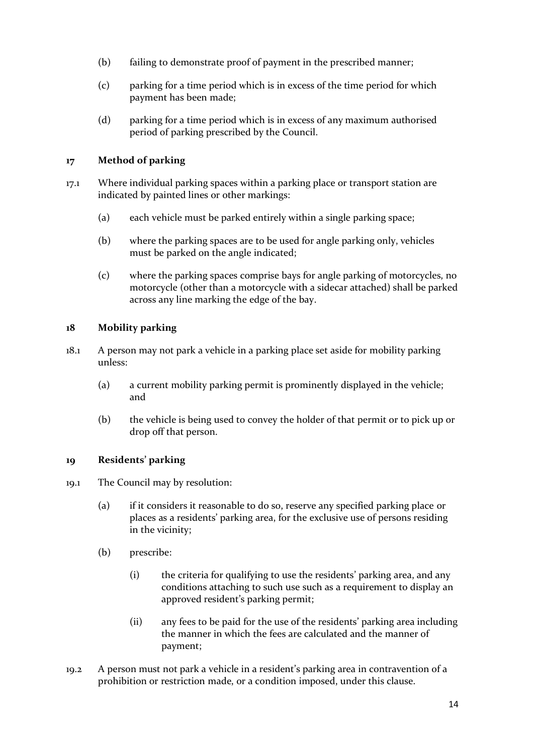- (b) failing to demonstrate proof of payment in the prescribed manner;
- (c) parking for a time period which is in excess of the time period for which payment has been made;
- (d) parking for a time period which is in excess of any maximum authorised period of parking prescribed by the Council.

# **17 Method of parking**

- 17.1 Where individual parking spaces within a parking place or transport station are indicated by painted lines or other markings:
	- (a) each vehicle must be parked entirely within a single parking space;
	- (b) where the parking spaces are to be used for angle parking only, vehicles must be parked on the angle indicated;
	- (c) where the parking spaces comprise bays for angle parking of motorcycles, no motorcycle (other than a motorcycle with a sidecar attached) shall be parked across any line marking the edge of the bay.

## **18 Mobility parking**

- 18.1 A person may not park a vehicle in a parking place set aside for mobility parking unless:
	- (a) a current mobility parking permit is prominently displayed in the vehicle; and
	- (b) the vehicle is being used to convey the holder of that permit or to pick up or drop off that person.

# **19 Residents' parking**

- 19.1 The Council may by resolution:
	- (a) if it considers it reasonable to do so, reserve any specified parking place or places as a residents' parking area, for the exclusive use of persons residing in the vicinity;
	- (b) prescribe:
		- (i) the criteria for qualifying to use the residents' parking area, and any conditions attaching to such use such as a requirement to display an approved resident's parking permit;
		- (ii) any fees to be paid for the use of the residents' parking area including the manner in which the fees are calculated and the manner of payment;
- 19.2 A person must not park a vehicle in a resident's parking area in contravention of a prohibition or restriction made, or a condition imposed, under this clause.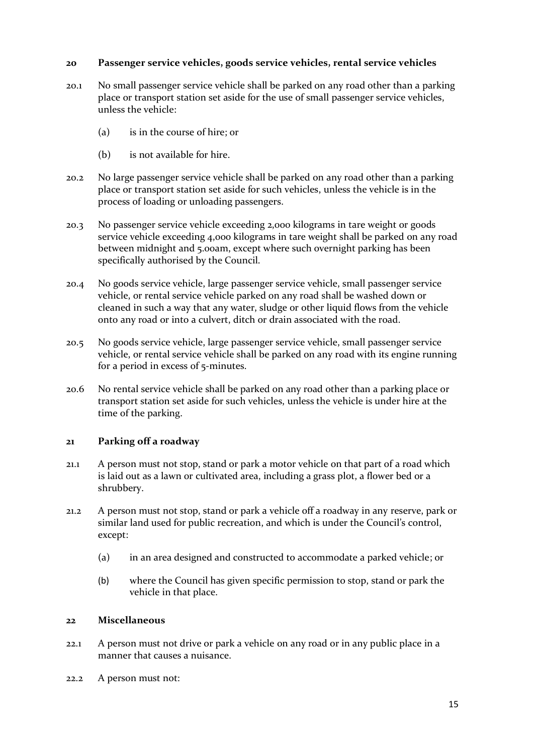### **20 Passenger service vehicles, goods service vehicles, rental service vehicles**

- 20.1 No small passenger service vehicle shall be parked on any road other than a parking place or transport station set aside for the use of small passenger service vehicles, unless the vehicle:
	- (a) is in the course of hire; or
	- (b) is not available for hire.
- 20.2 No large passenger service vehicle shall be parked on any road other than a parking place or transport station set aside for such vehicles, unless the vehicle is in the process of loading or unloading passengers.
- 20.3 No passenger service vehicle exceeding 2,000 kilograms in tare weight or goods service vehicle exceeding 4,000 kilograms in tare weight shall be parked on any road between midnight and 5.00am, except where such overnight parking has been specifically authorised by the Council.
- 20.4 No goods service vehicle, large passenger service vehicle, small passenger service vehicle, or rental service vehicle parked on any road shall be washed down or cleaned in such a way that any water, sludge or other liquid flows from the vehicle onto any road or into a culvert, ditch or drain associated with the road.
- 20.5 No goods service vehicle, large passenger service vehicle, small passenger service vehicle, or rental service vehicle shall be parked on any road with its engine running for a period in excess of 5-minutes.
- 20.6 No rental service vehicle shall be parked on any road other than a parking place or transport station set aside for such vehicles, unless the vehicle is under hire at the time of the parking.

### **21 Parking off a roadway**

- 21.1 A person must not stop, stand or park a motor vehicle on that part of a road which is laid out as a lawn or cultivated area, including a grass plot, a flower bed or a shrubbery.
- 21.2 A person must not stop, stand or park a vehicle off a roadway in any reserve, park or similar land used for public recreation, and which is under the Council's control, except:
	- (a) in an area designed and constructed to accommodate a parked vehicle; or
	- (b) where the Council has given specific permission to stop, stand or park the vehicle in that place.

### **22 Miscellaneous**

- 22.1 A person must not drive or park a vehicle on any road or in any public place in a manner that causes a nuisance.
- 22.2 A person must not: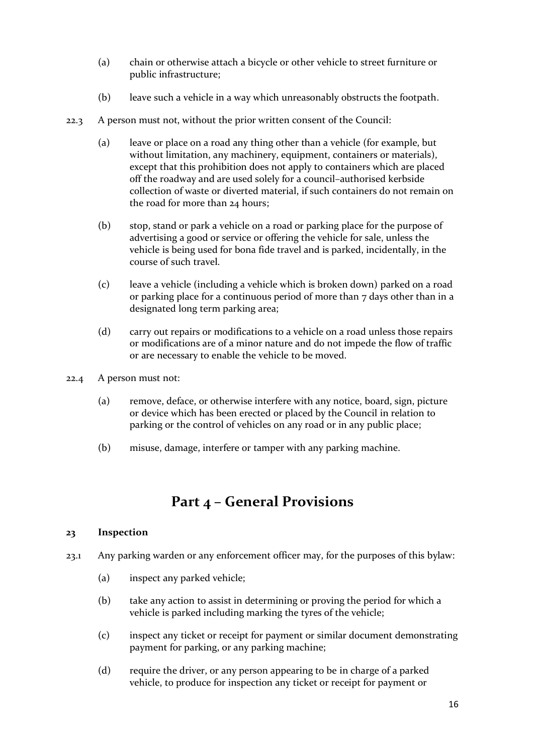- (a) chain or otherwise attach a bicycle or other vehicle to street furniture or public infrastructure;
- (b) leave such a vehicle in a way which unreasonably obstructs the footpath.
- 22.3 A person must not, without the prior written consent of the Council:
	- (a) leave or place on a road any thing other than a vehicle (for example, but without limitation, any machinery, equipment, containers or materials), except that this prohibition does not apply to containers which are placed off the roadway and are used solely for a council–authorised kerbside collection of waste or diverted material, if such containers do not remain on the road for more than 24 hours;
	- (b) stop, stand or park a vehicle on a road or parking place for the purpose of advertising a good or service or offering the vehicle for sale, unless the vehicle is being used for bona fide travel and is parked, incidentally, in the course of such travel.
	- (c) leave a vehicle (including a vehicle which is broken down) parked on a road or parking place for a continuous period of more than 7 days other than in a designated long term parking area;
	- (d) carry out repairs or modifications to a vehicle on a road unless those repairs or modifications are of a minor nature and do not impede the flow of traffic or are necessary to enable the vehicle to be moved.
- 22.4 A person must not:
	- (a) remove, deface, or otherwise interfere with any notice, board, sign, picture or device which has been erected or placed by the Council in relation to parking or the control of vehicles on any road or in any public place;
	- (b) misuse, damage, interfere or tamper with any parking machine.

# **Part 4 – General Provisions**

### **23 Inspection**

- 23.1 Any parking warden or any enforcement officer may, for the purposes of this bylaw:
	- (a) inspect any parked vehicle;
	- (b) take any action to assist in determining or proving the period for which a vehicle is parked including marking the tyres of the vehicle;
	- (c) inspect any ticket or receipt for payment or similar document demonstrating payment for parking, or any parking machine;
	- (d) require the driver, or any person appearing to be in charge of a parked vehicle, to produce for inspection any ticket or receipt for payment or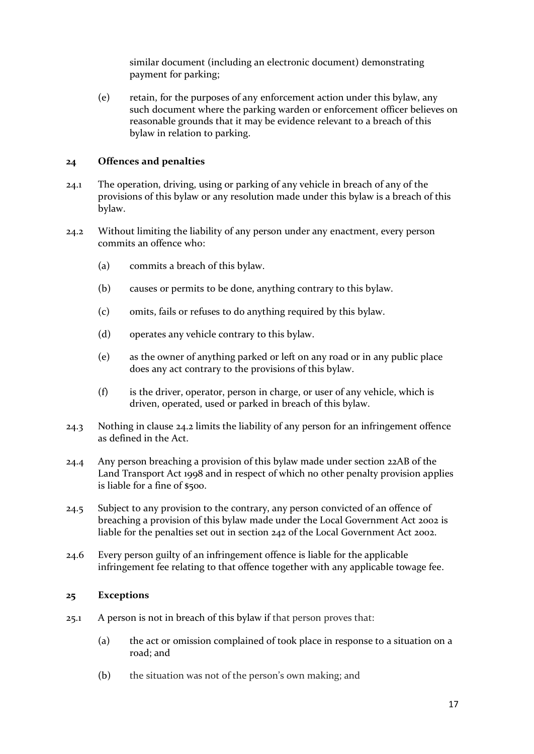similar document (including an electronic document) demonstrating payment for parking;

(e) retain, for the purposes of any enforcement action under this bylaw, any such document where the parking warden or enforcement officer believes on reasonable grounds that it may be evidence relevant to a breach of this bylaw in relation to parking.

#### **24 Offences and penalties**

- 24.1 The operation, driving, using or parking of any vehicle in breach of any of the provisions of this bylaw or any resolution made under this bylaw is a breach of this bylaw.
- 24.2 Without limiting the liability of any person under any enactment, every person commits an offence who:
	- (a) commits a breach of this bylaw.
	- (b) causes or permits to be done, anything contrary to this bylaw.
	- (c) omits, fails or refuses to do anything required by this bylaw.
	- (d) operates any vehicle contrary to this bylaw.
	- (e) as the owner of anything parked or left on any road or in any public place does any act contrary to the provisions of this bylaw.
	- (f) is the driver, operator, person in charge, or user of any vehicle, which is driven, operated, used or parked in breach of this bylaw.
- 24.3 Nothing in clause 24.2 limits the liability of any person for an infringement offence as defined in the Act.
- 24.4 Any person breaching a provision of this bylaw made under section 22AB of the Land Transport Act 1998 and in respect of which no other penalty provision applies is liable for a fine of \$500.
- 24.5 Subject to any provision to the contrary, any person convicted of an offence of breaching a provision of this bylaw made under the Local Government Act 2002 is liable for the penalties set out in section 242 of the Local Government Act 2002.
- 24.6 Every person guilty of an infringement offence is liable for the applicable infringement fee relating to that offence together with any applicable towage fee.

#### **25 Exceptions**

- 25.1 A person is not in breach of this bylaw if that person proves that:
	- (a) the act or omission complained of took place in response to a situation on a road; and
	- (b) the situation was not of the person's own making; and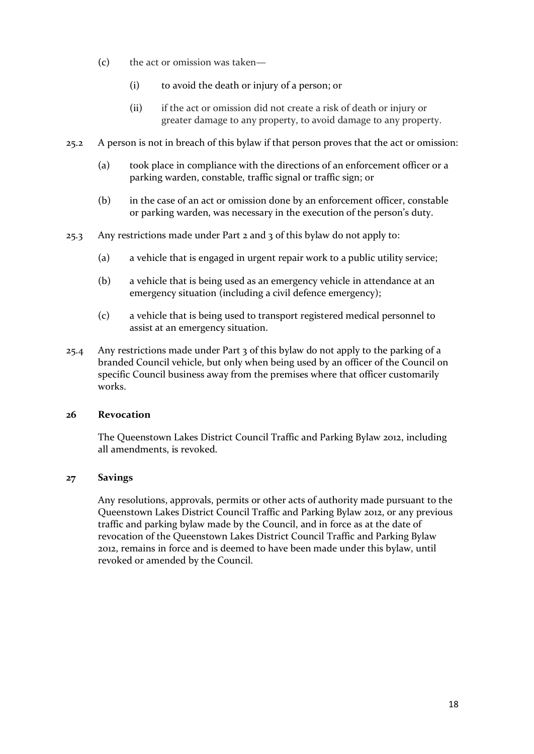- (c) the act or omission was taken—
	- (i) to avoid the death or injury of a person; or
	- (ii) if the act or omission did not create a risk of death or injury or greater damage to any property, to avoid damage to any property.
- 25.2 A person is not in breach of this bylaw if that person proves that the act or omission:
	- (a) took place in compliance with the directions of an enforcement officer or a parking warden, constable, traffic signal or traffic sign; or
	- (b) in the case of an act or omission done by an enforcement officer, constable or parking warden, was necessary in the execution of the person's duty.
- 25.3 Any restrictions made under Part 2 and 3 of this bylaw do not apply to:
	- (a) a vehicle that is engaged in urgent repair work to a public utility service;
	- (b) a vehicle that is being used as an emergency vehicle in attendance at an emergency situation (including a civil defence emergency);
	- (c) a vehicle that is being used to transport registered medical personnel to assist at an emergency situation.
- 25.4 Any restrictions made under Part 3 of this bylaw do not apply to the parking of a branded Council vehicle, but only when being used by an officer of the Council on specific Council business away from the premises where that officer customarily works.

### **26 Revocation**

The Queenstown Lakes District Council Traffic and Parking Bylaw 2012, including all amendments, is revoked.

### **27 Savings**

Any resolutions, approvals, permits or other acts of authority made pursuant to the Queenstown Lakes District Council Traffic and Parking Bylaw 2012, or any previous traffic and parking bylaw made by the Council, and in force as at the date of revocation of the Queenstown Lakes District Council Traffic and Parking Bylaw 2012, remains in force and is deemed to have been made under this bylaw, until revoked or amended by the Council.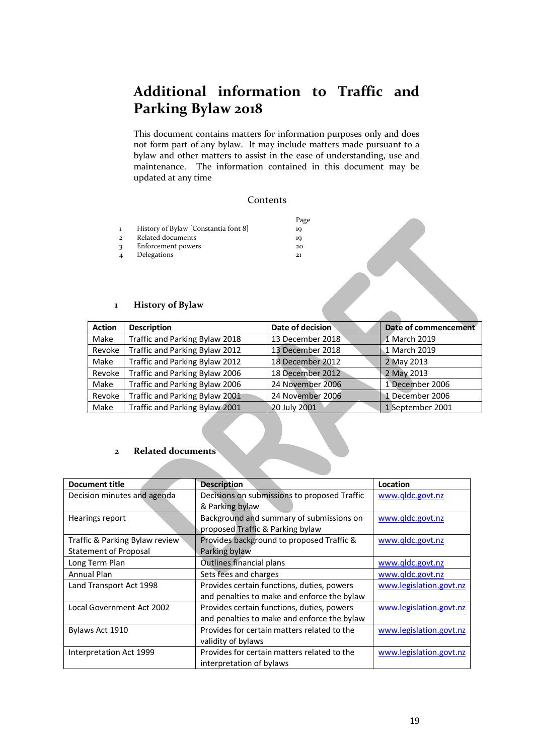# **Additional information to Traffic and Parking Bylaw 2018**

This document contains matters for information purposes only and does not form part of any bylaw. It may include matters made pursuant to a bylaw and other matters to assist in the ease of understanding, use and maintenance. The information contained in this document may be updated at any time

#### Contents

|                |                                      | Page |
|----------------|--------------------------------------|------|
| $\mathbf{1}$   | History of Bylaw [Constantia font 8] | 10   |
| $\overline{2}$ | Related documents                    | 19   |
| $\mathbf{R}$   | Enforcement powers                   | 20   |
| $\overline{4}$ | Delegations                          | 21   |

#### **1 History of Bylaw**

| $\mathbf{1}$  | Delegations<br><b>History of Bylaw</b> |                  |                      |
|---------------|----------------------------------------|------------------|----------------------|
| <b>Action</b> | <b>Description</b>                     | Date of decision | Date of commencement |
| Make          | Traffic and Parking Bylaw 2018         | 13 December 2018 | 1 March 2019         |
| Revoke        | Traffic and Parking Bylaw 2012         | 13 December 2018 | 1 March 2019         |
| Make          | Traffic and Parking Bylaw 2012         | 18 December 2012 | 2 May 2013           |
| Revoke        | Traffic and Parking Bylaw 2006         | 18 December 2012 | 2 May 2013           |
| Make          | Traffic and Parking Bylaw 2006         | 24 November 2006 | 1 December 2006      |
| Revoke        | Traffic and Parking Bylaw 2001         | 24 November 2006 | 1 December 2006      |
| Make          | Traffic and Parking Bylaw 2001         | 20 July 2001     | 1 September 2001     |

#### **2 Related documents**

| <b>Document title</b>          | <b>Description</b>                           | Location                |
|--------------------------------|----------------------------------------------|-------------------------|
| Decision minutes and agenda    | Decisions on submissions to proposed Traffic | www.qldc.govt.nz        |
|                                | & Parking bylaw                              |                         |
| Hearings report                | Background and summary of submissions on     | www.qldc.govt.nz        |
|                                | proposed Traffic & Parking bylaw             |                         |
| Traffic & Parking Bylaw review | Provides background to proposed Traffic &    | www.qldc.govt.nz        |
| <b>Statement of Proposal</b>   | Parking bylaw                                |                         |
| Long Term Plan                 | Outlines financial plans                     | www.gldc.govt.nz        |
| Annual Plan                    | Sets fees and charges                        | www.qldc.govt.nz        |
| Land Transport Act 1998        | Provides certain functions, duties, powers   | www.legislation.govt.nz |
|                                | and penalties to make and enforce the bylaw  |                         |
| Local Government Act 2002      | Provides certain functions, duties, powers   | www.legislation.govt.nz |
|                                | and penalties to make and enforce the bylaw  |                         |
| Bylaws Act 1910                | Provides for certain matters related to the  | www.legislation.govt.nz |
|                                | validity of bylaws                           |                         |
| Interpretation Act 1999        | Provides for certain matters related to the  | www.legislation.govt.nz |
|                                | interpretation of bylaws                     |                         |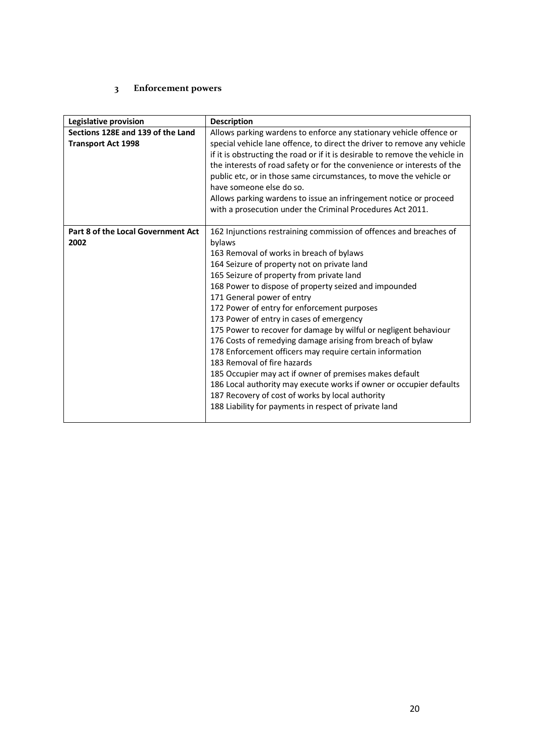## **3 Enforcement powers**

| Legislative provision              | <b>Description</b>                                                           |  |
|------------------------------------|------------------------------------------------------------------------------|--|
| Sections 128E and 139 of the Land  | Allows parking wardens to enforce any stationary vehicle offence or          |  |
| <b>Transport Act 1998</b>          | special vehicle lane offence, to direct the driver to remove any vehicle     |  |
|                                    | if it is obstructing the road or if it is desirable to remove the vehicle in |  |
|                                    | the interests of road safety or for the convenience or interests of the      |  |
|                                    | public etc, or in those same circumstances, to move the vehicle or           |  |
|                                    | have someone else do so.                                                     |  |
|                                    | Allows parking wardens to issue an infringement notice or proceed            |  |
|                                    | with a prosecution under the Criminal Procedures Act 2011.                   |  |
|                                    |                                                                              |  |
| Part 8 of the Local Government Act | 162 Injunctions restraining commission of offences and breaches of           |  |
| 2002                               | bylaws                                                                       |  |
|                                    | 163 Removal of works in breach of bylaws                                     |  |
|                                    | 164 Seizure of property not on private land                                  |  |
|                                    | 165 Seizure of property from private land                                    |  |
|                                    | 168 Power to dispose of property seized and impounded                        |  |
|                                    | 171 General power of entry                                                   |  |
|                                    | 172 Power of entry for enforcement purposes                                  |  |
|                                    | 173 Power of entry in cases of emergency                                     |  |
|                                    | 175 Power to recover for damage by wilful or negligent behaviour             |  |
|                                    | 176 Costs of remedying damage arising from breach of bylaw                   |  |
|                                    | 178 Enforcement officers may require certain information                     |  |
|                                    | 183 Removal of fire hazards                                                  |  |
|                                    | 185 Occupier may act if owner of premises makes default                      |  |
|                                    | 186 Local authority may execute works if owner or occupier defaults          |  |
|                                    | 187 Recovery of cost of works by local authority                             |  |
|                                    | 188 Liability for payments in respect of private land                        |  |
|                                    |                                                                              |  |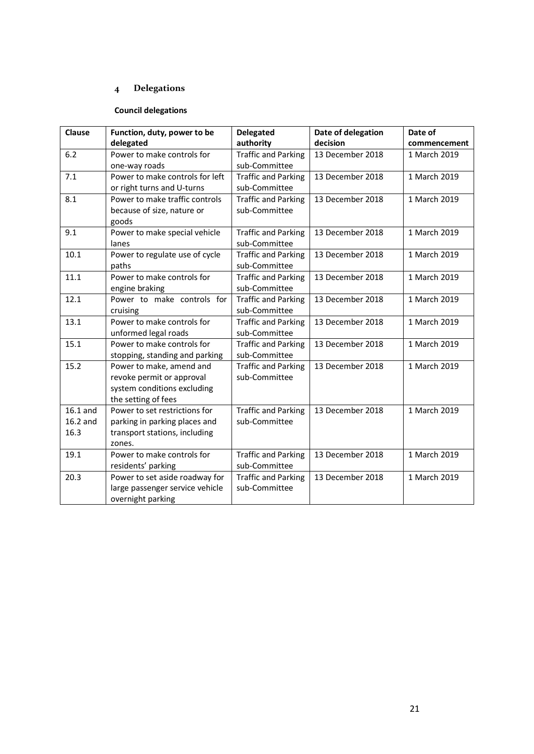# **4 Delegations**

# **Council delegations**

| <b>Clause</b> | Function, duty, power to be     | <b>Delegated</b>           | Date of delegation | Date of      |
|---------------|---------------------------------|----------------------------|--------------------|--------------|
|               | delegated                       | authority                  | decision           | commencement |
| 6.2           | Power to make controls for      | <b>Traffic and Parking</b> | 13 December 2018   | 1 March 2019 |
|               | one-way roads                   | sub-Committee              |                    |              |
| 7.1           | Power to make controls for left | <b>Traffic and Parking</b> | 13 December 2018   | 1 March 2019 |
|               | or right turns and U-turns      | sub-Committee              |                    |              |
| 8.1           | Power to make traffic controls  | <b>Traffic and Parking</b> | 13 December 2018   | 1 March 2019 |
|               | because of size, nature or      | sub-Committee              |                    |              |
|               | goods                           |                            |                    |              |
| 9.1           | Power to make special vehicle   | <b>Traffic and Parking</b> | 13 December 2018   | 1 March 2019 |
|               | lanes                           | sub-Committee              |                    |              |
| 10.1          | Power to regulate use of cycle  | <b>Traffic and Parking</b> | 13 December 2018   | 1 March 2019 |
|               | paths                           | sub-Committee              |                    |              |
| 11.1          | Power to make controls for      | <b>Traffic and Parking</b> | 13 December 2018   | 1 March 2019 |
|               | engine braking                  | sub-Committee              |                    |              |
| 12.1          | Power to make controls for      | <b>Traffic and Parking</b> | 13 December 2018   | 1 March 2019 |
|               | cruising                        | sub-Committee              |                    |              |
| 13.1          | Power to make controls for      | <b>Traffic and Parking</b> | 13 December 2018   | 1 March 2019 |
|               | unformed legal roads            | sub-Committee              |                    |              |
| 15.1          | Power to make controls for      | <b>Traffic and Parking</b> | 13 December 2018   | 1 March 2019 |
|               | stopping, standing and parking  | sub-Committee              |                    |              |
| 15.2          | Power to make, amend and        | <b>Traffic and Parking</b> | 13 December 2018   | 1 March 2019 |
|               | revoke permit or approval       | sub-Committee              |                    |              |
|               | system conditions excluding     |                            |                    |              |
|               | the setting of fees             |                            |                    |              |
| $16.1$ and    | Power to set restrictions for   | <b>Traffic and Parking</b> | 13 December 2018   | 1 March 2019 |
| 16.2 and      | parking in parking places and   | sub-Committee              |                    |              |
| 16.3          | transport stations, including   |                            |                    |              |
|               | zones.                          |                            |                    |              |
| 19.1          | Power to make controls for      | <b>Traffic and Parking</b> | 13 December 2018   | 1 March 2019 |
|               | residents' parking              | sub-Committee              |                    |              |
| 20.3          | Power to set aside roadway for  | <b>Traffic and Parking</b> | 13 December 2018   | 1 March 2019 |
|               | large passenger service vehicle | sub-Committee              |                    |              |
|               | overnight parking               |                            |                    |              |